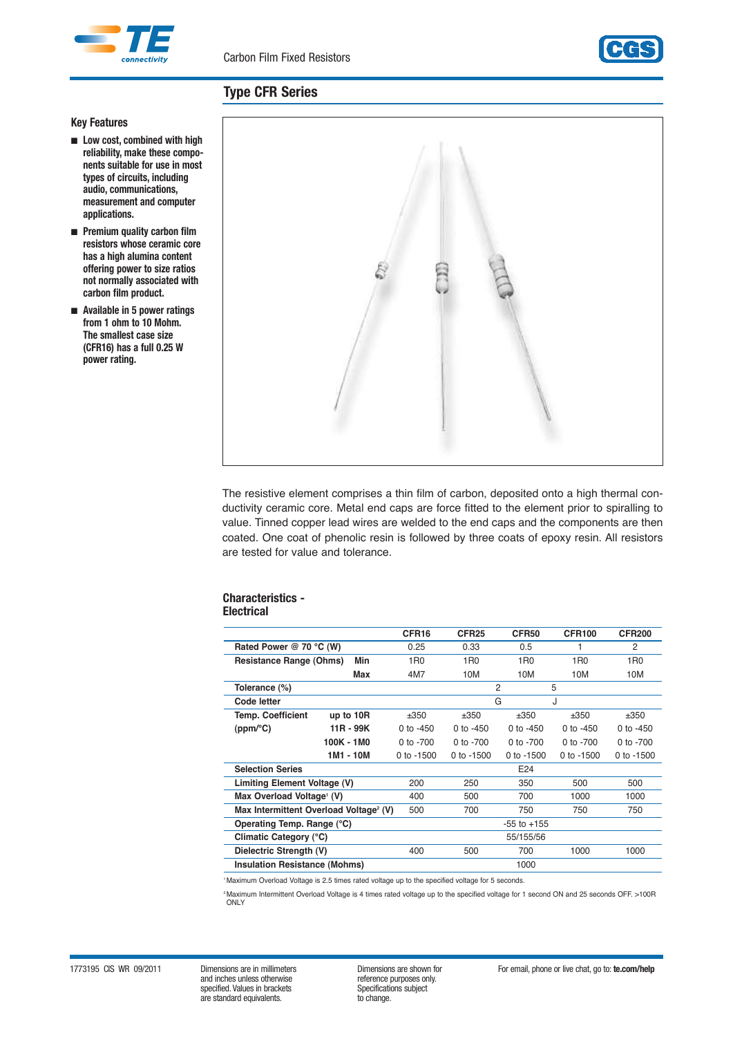



# **Type CFR Series**

## **Key Features**

- **Low cost, combined with high reliability, make these components suitable for use in most types of circuits, including audio, communications, measurement and computer applications.**
- **Premium quality carbon film resistors whose ceramic core has a high alumina content offering power to size ratios not normally associated with carbon film product.**
- **Available in 5 power ratings from 1 ohm to 10 Mohm. The smallest case size (CFR16) has a full 0.25 W power rating.**



The resistive element comprises a thin film of carbon, deposited onto a high thermal conductivity ceramic core. Metal end caps are force fitted to the element prior to spiralling to value. Tinned copper lead wires are welded to the end caps and the components are then coated. One coat of phenolic resin is followed by three coats of epoxy resin. All resistors are tested for value and tolerance.

#### **Characteristics - Electrical**

| Electrical |  |  |  |  |  |
|------------|--|--|--|--|--|
|            |  |  |  |  |  |

|                                                    |            | CFR <sub>16</sub> | CFR <sub>25</sub> | CFR50           | <b>CFR100</b>   | <b>CFR200</b>   |
|----------------------------------------------------|------------|-------------------|-------------------|-----------------|-----------------|-----------------|
| Rated Power @ 70 °C (W)                            |            | 0.25              | 0.33              | 0.5             | 1               | 2               |
| <b>Resistance Range (Ohms)</b>                     | Min        | 1 <sub>R0</sub>   | 1 <sub>R0</sub>   | 1 <sub>R0</sub> | 1 <sub>R0</sub> | 1 <sub>R0</sub> |
|                                                    | Max        | 4M7               | 10M               | 10M             | 10M             | 10M             |
| Tolerance (%)                                      |            |                   | $\overline{2}$    |                 | 5               |                 |
| Code letter                                        |            |                   | G                 |                 | J               |                 |
| <b>Temp. Coefficient</b>                           | up to 10R  | ±350              | ±350              | ±350            | ±350            | ±350            |
| (ppm/°C)                                           | 11R - 99K  | 0 to $-450$       | 0 to $-450$       | 0 to $-450$     | 0 to $-450$     | 0 to $-450$     |
|                                                    | 100K - 1M0 | 0 to $-700$       | $0$ to $-700$     | 0 to $-700$     | $0$ to $-700$   | 0 to -700       |
|                                                    | 1M1 - 10M  | 0 to $-1500$      | 0 to $-1500$      | 0 to $-1500$    | 0 to $-1500$    | 0 to $-1500$    |
| <b>Selection Series</b>                            |            |                   |                   | E24             |                 |                 |
| Limiting Element Voltage (V)                       |            | 200               | 250               | 350             | 500             | 500             |
| Max Overload Voltage <sup>1</sup> (V)              |            | 400               | 500               | 700             | 1000            | 1000            |
| Max Intermittent Overload Voltage <sup>2</sup> (V) |            | 500               | 700               | 750             | 750             | 750             |
| Operating Temp. Range (°C)                         |            |                   |                   | $-55$ to $+155$ |                 |                 |
| Climatic Category (°C)                             |            |                   |                   | 55/155/56       |                 |                 |
| Dielectric Strength (V)                            |            | 400               | 500               | 700             | 1000            | 1000            |
| <b>Insulation Resistance (Mohms)</b>               |            |                   |                   | 1000            |                 |                 |

<sup>1</sup> Maximum Overload Voltage is 2.5 times rated voltage up to the specified voltage for 5 seconds.

2Maximum Intermittent Overload Voltage is 4 times rated voltage up to the specified voltage for 1 second ON and 25 seconds OFF. >100R ONLY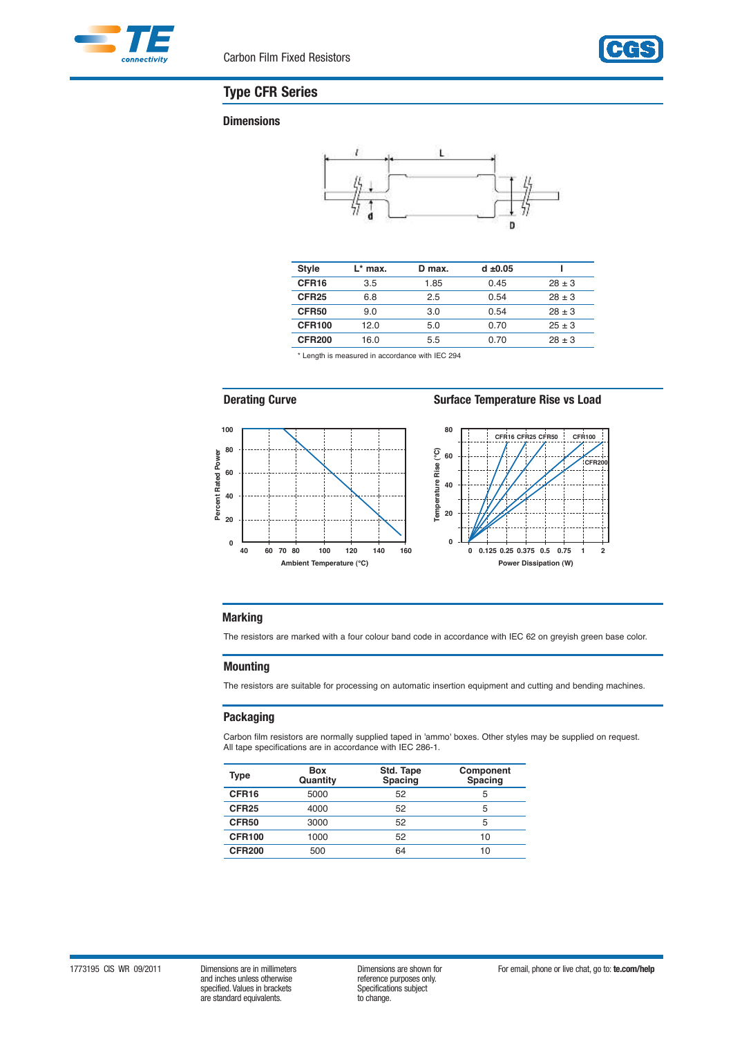



# **Type CFR Series**

#### **Dimensions**



| <b>Style</b>      | $L^*$ max. | D max. | $d \pm 0.05$ |            |
|-------------------|------------|--------|--------------|------------|
| CFR <sub>16</sub> | 3.5        | 1.85   | 0.45         | $28 \pm 3$ |
| CFR <sub>25</sub> | 6.8        | 2.5    | 0.54         | $28 \pm 3$ |
| CFR50             | 9.0        | 3.0    | 0.54         | $28 \pm 3$ |
| <b>CFR100</b>     | 12.0       | 5.0    | 0.70         | $25 \pm 3$ |
| <b>CFR200</b>     | 16.0       | 5.5    | 0.70         | $28 \pm 3$ |

\* Length is measured in accordance with IEC 294



**Derating Curve Surface Temperature Rise vs Load**



# **Marking**

The resistors are marked with a four colour band code in accordance with IEC 62 on greyish green base color.

#### **Mounting**

The resistors are suitable for processing on automatic insertion equipment and cutting and bending machines.

#### **Packaging**

Carbon film resistors are normally supplied taped in 'ammo' boxes. Other styles may be supplied on request. All tape specifications are in accordance with IEC 286-1.

| Type              | <b>Box</b><br>Quantity | Std. Tape<br><b>Spacing</b> | Component<br>Spacing |
|-------------------|------------------------|-----------------------------|----------------------|
| CFR <sub>16</sub> | 5000                   | 52                          | 5                    |
| CFR <sub>25</sub> | 4000                   | 52                          | 5                    |
| CFR50             | 3000                   | 52                          | 5                    |
| <b>CFR100</b>     | 1000                   | 52                          | 10                   |
| <b>CFR200</b>     | 500                    | 64                          | 10                   |